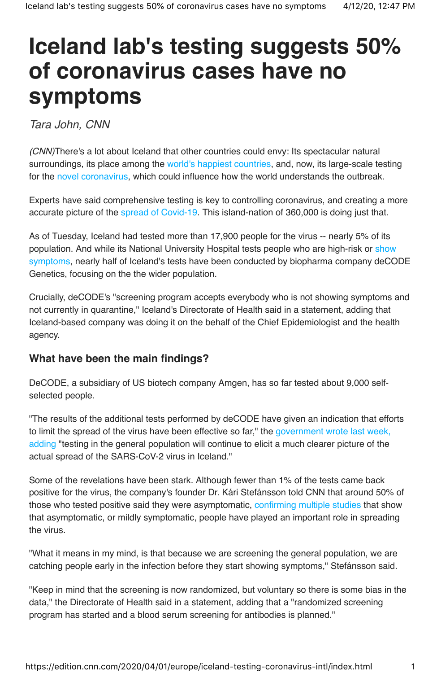## **Iceland lab's testing suggests 50% of coronavirus cases have no symptoms**

Tara John, CNN

(CNN)There's a lot about Iceland that other countries could envy: Its spectacular natural surroundings, its place among the world's happiest countries, and, now, its large-scale testing for the novel coronavirus, which could influence how the world understands the outbreak.

Experts have said comprehensive testing is key to controlling coronavirus, and creating a more accurate picture of the spread of Covid-19. This island-nation of 360,000 is doing just that.

As of Tuesday, Iceland had tested more than 17,900 people for the virus -- nearly 5% of its population. And while its National University Hospital tests people who are high-risk or show symptoms, nearly half of Iceland's tests have been conducted by biopharma company deCODE Genetics, focusing on the the wider population.

Crucially, deCODE's "screening program accepts everybody who is not showing symptoms and not currently in quarantine," Iceland's Directorate of Health said in a statement, adding that Iceland-based company was doing it on the behalf of the Chief Epidemiologist and the health agency.

## **What have been the main findings?**

DeCODE, a subsidiary of US biotech company Amgen, has so far tested about 9,000 selfselected people.

"The results of the additional tests performed by deCODE have given an indication that efforts to limit the spread of the virus have been effective so far," the government wrote last week, adding "testing in the general population will continue to elicit a much clearer picture of the actual spread of the SARS-CoV-2 virus in Iceland."

Some of the revelations have been stark. Although fewer than 1% of the tests came back positive for the virus, the company's founder Dr. Kári Stefánsson told CNN that around 50% of those who tested positive said they were asymptomatic, confirming multiple studies that show that asymptomatic, or mildly symptomatic, people have played an important role in spreading the virus.

"What it means in my mind, is that because we are screening the general population, we are catching people early in the infection before they start showing symptoms," Stefánsson said.

"Keep in mind that the screening is now randomized, but voluntary so there is some bias in the data," the Directorate of Health said in a statement, adding that a "randomized screening program has started and a blood serum screening for antibodies is planned."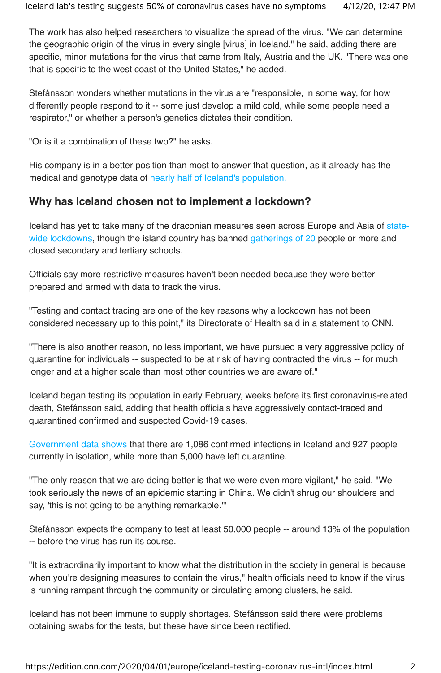The work has also helped researchers to visualize the spread of the virus. "We can determine the geographic origin of the virus in every single [virus] in Iceland," he said, adding there are specific, minor mutations for the virus that came from Italy, Austria and the UK. "There was one that is specific to the west coast of the United States," he added.

Stefánsson wonders whether mutations in the virus are "responsible, in some way, for how differently people respond to it -- some just develop a mild cold, while some people need a respirator," or whether a person's genetics dictates their condition.

"Or is it a combination of these two?" he asks.

His company is in a better position than most to answer that question, as it already has the medical and genotype data of nearly half of Iceland's population.

## **Why has Iceland chosen not to implement a lockdown?**

Iceland has yet to take many of the draconian measures seen across Europe and Asia of statewide lockdowns, though the island country has banned gatherings of 20 people or more and closed secondary and tertiary schools.

Officials say more restrictive measures haven't been needed because they were better prepared and armed with data to track the virus.

"Testing and contact tracing are one of the key reasons why a lockdown has not been considered necessary up to this point," its Directorate of Health said in a statement to CNN.

"There is also another reason, no less important, we have pursued a very aggressive policy of quarantine for individuals -- suspected to be at risk of having contracted the virus -- for much longer and at a higher scale than most other countries we are aware of."

Iceland began testing its population in early February, weeks before its first coronavirus-related death, Stefánsson said, adding that health officials have aggressively contact-traced and quarantined confirmed and suspected Covid-19 cases.

Government data shows that there are 1,086 confirmed infections in Iceland and 927 people currently in isolation, while more than 5,000 have left quarantine.

"The only reason that we are doing better is that we were even more vigilant," he said. "We took seriously the news of an epidemic starting in China. We didn't shrug our shoulders and say, 'this is not going to be anything remarkable.'"

Stefánsson expects the company to test at least 50,000 people -- around 13% of the population -- before the virus has run its course.

"It is extraordinarily important to know what the distribution in the society in general is because when you're designing measures to contain the virus," health officials need to know if the virus is running rampant through the community or circulating among clusters, he said.

Iceland has not been immune to supply shortages. Stefánsson said there were problems obtaining swabs for the tests, but these have since been rectified.